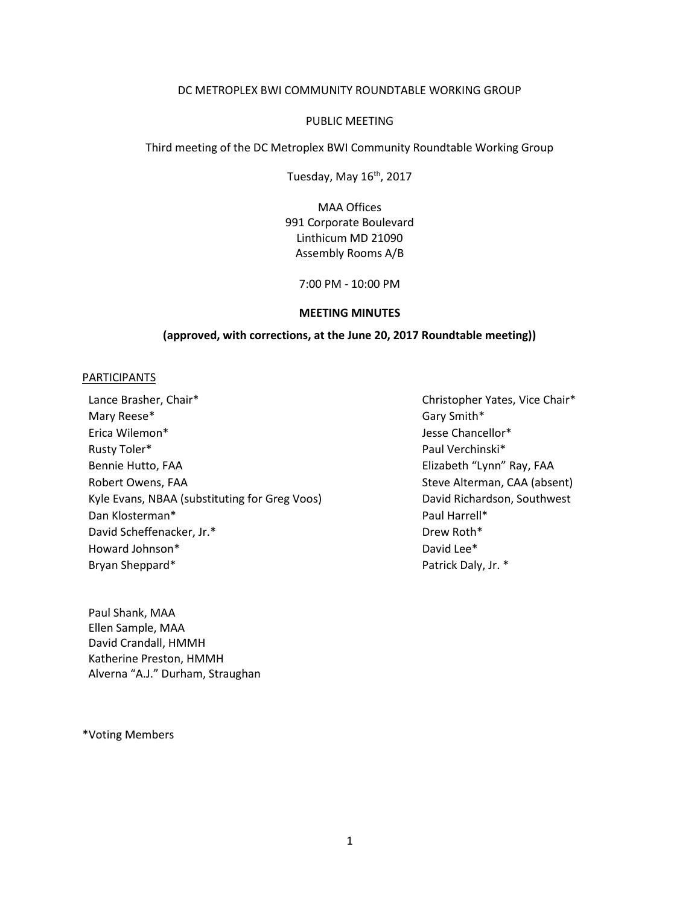### DC METROPLEX BWI COMMUNITY ROUNDTABLE WORKING GROUP

### PUBLIC MEETING

Third meeting of the DC Metroplex BWI Community Roundtable Working Group

Tuesday, May 16<sup>th</sup>, 2017

MAA Offices 991 Corporate Boulevard Linthicum MD 21090 Assembly Rooms A/B

7:00 PM - 10:00 PM

#### **MEETING MINUTES**

### **(approved, with corrections, at the June 20, 2017 Roundtable meeting))**

### **PARTICIPANTS**

Lance Brasher, Chair\* The Christopher Yates, Vice Chair\* Christopher Yates, Vice Chair\* Mary Reese<sup>\*</sup> Gary Smith\* Erica Wilemon\* Jesse Chancellor\* Rusty Toler\* **Paul Verchinski**\* Bennie Hutto, FAA Elizabeth "Lynn" Ray, FAA Robert Owens, FAA Steve Alterman, CAA (absent) Kyle Evans, NBAA (substituting for Greg Voos) David Richardson, Southwest Dan Klosterman\* Paul Harrell\* David Scheffenacker, Jr.\* The Contraction of the Drew Roth\* Howard Johnson\* David Lee \* David Lee \* David Lee \* David Lee \* Bryan Sheppard\* Patrick Daly, Jr. \*

Paul Shank, MAA Ellen Sample, MAA David Crandall, HMMH Katherine Preston, HMMH Alverna "A.J." Durham, Straughan

\*Voting Members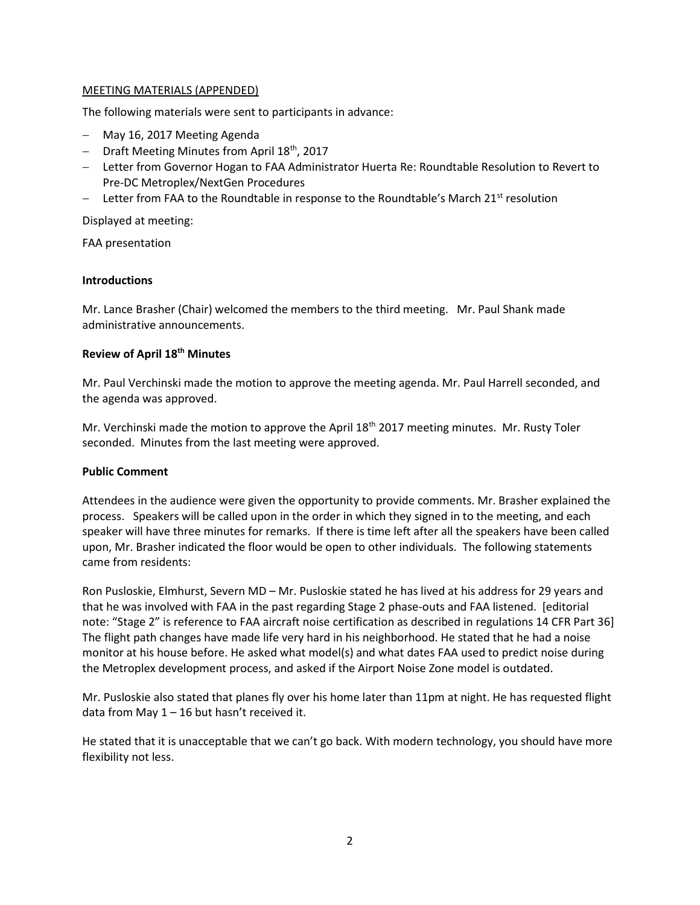# MEETING MATERIALS (APPENDED)

The following materials were sent to participants in advance:

- May 16, 2017 Meeting Agenda
- Draft Meeting Minutes from April 18<sup>th</sup>, 2017
- Letter from Governor Hogan to FAA Administrator Huerta Re: Roundtable Resolution to Revert to Pre-DC Metroplex/NextGen Procedures
- $\blacksquare$  Letter from FAA to the Roundtable in response to the Roundtable's March 21st resolution

Displayed at meeting:

FAA presentation

## **Introductions**

Mr. Lance Brasher (Chair) welcomed the members to the third meeting. Mr. Paul Shank made administrative announcements.

# **Review of April 18th Minutes**

Mr. Paul Verchinski made the motion to approve the meeting agenda. Mr. Paul Harrell seconded, and the agenda was approved.

Mr. Verchinski made the motion to approve the April 18<sup>th</sup> 2017 meeting minutes. Mr. Rusty Toler seconded. Minutes from the last meeting were approved.

## **Public Comment**

Attendees in the audience were given the opportunity to provide comments. Mr. Brasher explained the process. Speakers will be called upon in the order in which they signed in to the meeting, and each speaker will have three minutes for remarks. If there is time left after all the speakers have been called upon, Mr. Brasher indicated the floor would be open to other individuals. The following statements came from residents:

Ron Pusloskie, Elmhurst, Severn MD – Mr. Pusloskie stated he has lived at his address for 29 years and that he was involved with FAA in the past regarding Stage 2 phase-outs and FAA listened. [editorial note: "Stage 2" is reference to FAA aircraft noise certification as described in regulations 14 CFR Part 36] The flight path changes have made life very hard in his neighborhood. He stated that he had a noise monitor at his house before. He asked what model(s) and what dates FAA used to predict noise during the Metroplex development process, and asked if the Airport Noise Zone model is outdated.

Mr. Pusloskie also stated that planes fly over his home later than 11pm at night. He has requested flight data from May 1 – 16 but hasn't received it.

He stated that it is unacceptable that we can't go back. With modern technology, you should have more flexibility not less.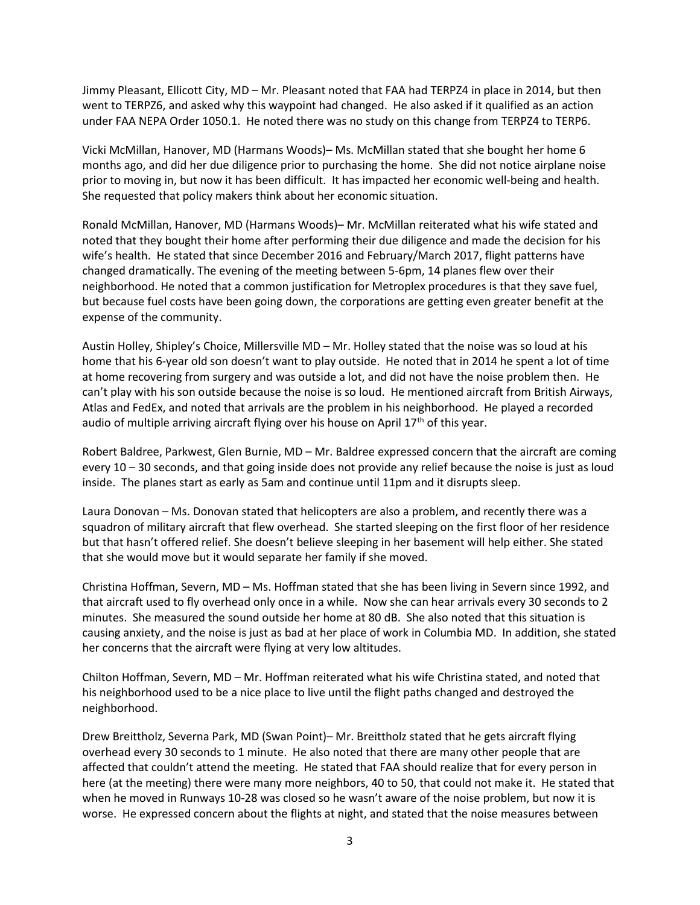Jimmy Pleasant, Ellicott City, MD – Mr. Pleasant noted that FAA had TERPZ4 in place in 2014, but then went to TERPZ6, and asked why this waypoint had changed. He also asked if it qualified as an action under FAA NEPA Order 1050.1. He noted there was no study on this change from TERPZ4 to TERP6.

Vicki McMillan, Hanover, MD (Harmans Woods)– Ms. McMillan stated that she bought her home 6 months ago, and did her due diligence prior to purchasing the home. She did not notice airplane noise prior to moving in, but now it has been difficult. It has impacted her economic well-being and health. She requested that policy makers think about her economic situation.

Ronald McMillan, Hanover, MD (Harmans Woods)– Mr. McMillan reiterated what his wife stated and noted that they bought their home after performing their due diligence and made the decision for his wife's health. He stated that since December 2016 and February/March 2017, flight patterns have changed dramatically. The evening of the meeting between 5-6pm, 14 planes flew over their neighborhood. He noted that a common justification for Metroplex procedures is that they save fuel, but because fuel costs have been going down, the corporations are getting even greater benefit at the expense of the community.

Austin Holley, Shipley's Choice, Millersville MD – Mr. Holley stated that the noise was so loud at his home that his 6-year old son doesn't want to play outside. He noted that in 2014 he spent a lot of time at home recovering from surgery and was outside a lot, and did not have the noise problem then. He can't play with his son outside because the noise is so loud. He mentioned aircraft from British Airways, Atlas and FedEx, and noted that arrivals are the problem in his neighborhood. He played a recorded audio of multiple arriving aircraft flying over his house on April  $17<sup>th</sup>$  of this year.

Robert Baldree, Parkwest, Glen Burnie, MD – Mr. Baldree expressed concern that the aircraft are coming every 10 – 30 seconds, and that going inside does not provide any relief because the noise is just as loud inside. The planes start as early as 5am and continue until 11pm and it disrupts sleep.

Laura Donovan – Ms. Donovan stated that helicopters are also a problem, and recently there was a squadron of military aircraft that flew overhead. She started sleeping on the first floor of her residence but that hasn't offered relief. She doesn't believe sleeping in her basement will help either. She stated that she would move but it would separate her family if she moved.

Christina Hoffman, Severn, MD – Ms. Hoffman stated that she has been living in Severn since 1992, and that aircraft used to fly overhead only once in a while. Now she can hear arrivals every 30 seconds to 2 minutes. She measured the sound outside her home at 80 dB. She also noted that this situation is causing anxiety, and the noise is just as bad at her place of work in Columbia MD. In addition, she stated her concerns that the aircraft were flying at very low altitudes.

Chilton Hoffman, Severn, MD – Mr. Hoffman reiterated what his wife Christina stated, and noted that his neighborhood used to be a nice place to live until the flight paths changed and destroyed the neighborhood.

Drew Breittholz, Severna Park, MD (Swan Point)– Mr. Breittholz stated that he gets aircraft flying overhead every 30 seconds to 1 minute. He also noted that there are many other people that are affected that couldn't attend the meeting. He stated that FAA should realize that for every person in here (at the meeting) there were many more neighbors, 40 to 50, that could not make it. He stated that when he moved in Runways 10-28 was closed so he wasn't aware of the noise problem, but now it is worse. He expressed concern about the flights at night, and stated that the noise measures between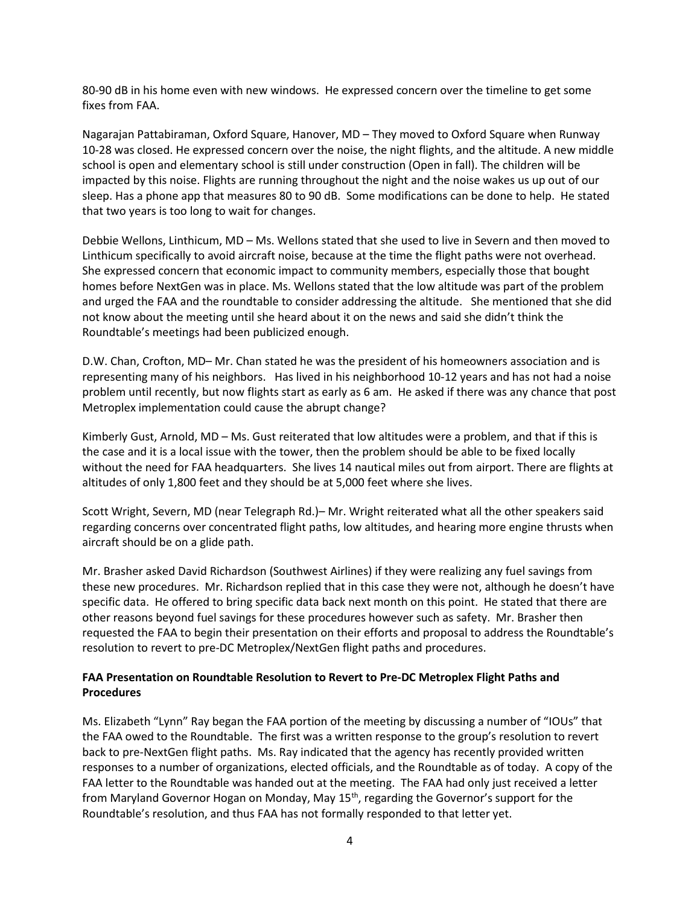80-90 dB in his home even with new windows. He expressed concern over the timeline to get some fixes from FAA.

Nagarajan Pattabiraman, Oxford Square, Hanover, MD – They moved to Oxford Square when Runway 10-28 was closed. He expressed concern over the noise, the night flights, and the altitude. A new middle school is open and elementary school is still under construction (Open in fall). The children will be impacted by this noise. Flights are running throughout the night and the noise wakes us up out of our sleep. Has a phone app that measures 80 to 90 dB. Some modifications can be done to help. He stated that two years is too long to wait for changes.

Debbie Wellons, Linthicum, MD – Ms. Wellons stated that she used to live in Severn and then moved to Linthicum specifically to avoid aircraft noise, because at the time the flight paths were not overhead. She expressed concern that economic impact to community members, especially those that bought homes before NextGen was in place. Ms. Wellons stated that the low altitude was part of the problem and urged the FAA and the roundtable to consider addressing the altitude. She mentioned that she did not know about the meeting until she heard about it on the news and said she didn't think the Roundtable's meetings had been publicized enough.

D.W. Chan, Crofton, MD– Mr. Chan stated he was the president of his homeowners association and is representing many of his neighbors. Has lived in his neighborhood 10-12 years and has not had a noise problem until recently, but now flights start as early as 6 am. He asked if there was any chance that post Metroplex implementation could cause the abrupt change?

Kimberly Gust, Arnold, MD – Ms. Gust reiterated that low altitudes were a problem, and that if this is the case and it is a local issue with the tower, then the problem should be able to be fixed locally without the need for FAA headquarters. She lives 14 nautical miles out from airport. There are flights at altitudes of only 1,800 feet and they should be at 5,000 feet where she lives.

Scott Wright, Severn, MD (near Telegraph Rd.)– Mr. Wright reiterated what all the other speakers said regarding concerns over concentrated flight paths, low altitudes, and hearing more engine thrusts when aircraft should be on a glide path.

Mr. Brasher asked David Richardson (Southwest Airlines) if they were realizing any fuel savings from these new procedures. Mr. Richardson replied that in this case they were not, although he doesn't have specific data. He offered to bring specific data back next month on this point. He stated that there are other reasons beyond fuel savings for these procedures however such as safety. Mr. Brasher then requested the FAA to begin their presentation on their efforts and proposal to address the Roundtable's resolution to revert to pre-DC Metroplex/NextGen flight paths and procedures.

# **FAA Presentation on Roundtable Resolution to Revert to Pre-DC Metroplex Flight Paths and Procedures**

Ms. Elizabeth "Lynn" Ray began the FAA portion of the meeting by discussing a number of "IOUs" that the FAA owed to the Roundtable. The first was a written response to the group's resolution to revert back to pre-NextGen flight paths. Ms. Ray indicated that the agency has recently provided written responses to a number of organizations, elected officials, and the Roundtable as of today. A copy of the FAA letter to the Roundtable was handed out at the meeting. The FAA had only just received a letter from Maryland Governor Hogan on Monday, May 15<sup>th</sup>, regarding the Governor's support for the Roundtable's resolution, and thus FAA has not formally responded to that letter yet.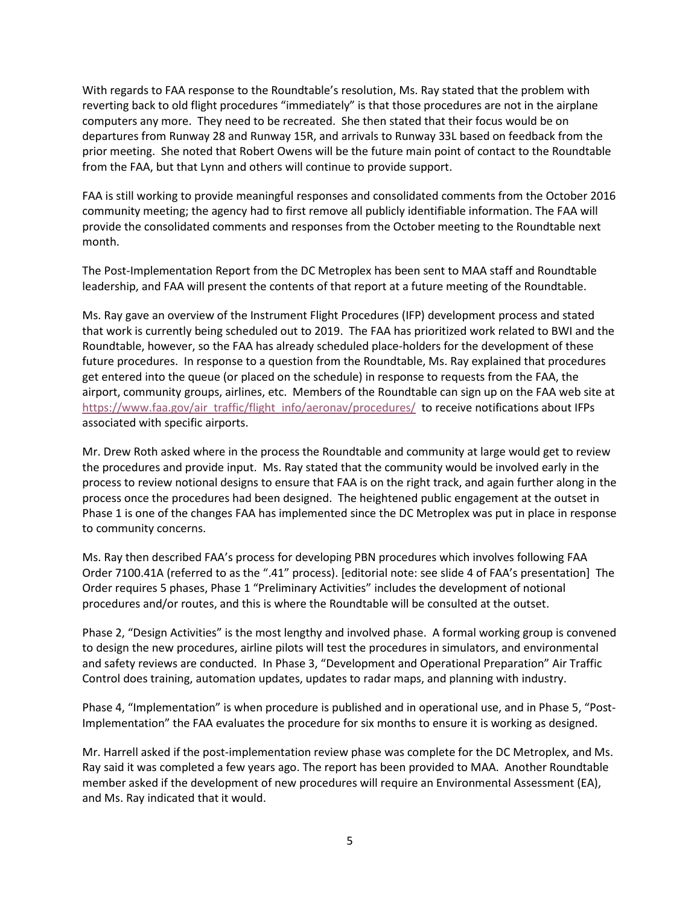With regards to FAA response to the Roundtable's resolution, Ms. Ray stated that the problem with reverting back to old flight procedures "immediately" is that those procedures are not in the airplane computers any more. They need to be recreated. She then stated that their focus would be on departures from Runway 28 and Runway 15R, and arrivals to Runway 33L based on feedback from the prior meeting. She noted that Robert Owens will be the future main point of contact to the Roundtable from the FAA, but that Lynn and others will continue to provide support.

FAA is still working to provide meaningful responses and consolidated comments from the October 2016 community meeting; the agency had to first remove all publicly identifiable information. The FAA will provide the consolidated comments and responses from the October meeting to the Roundtable next month.

The Post-Implementation Report from the DC Metroplex has been sent to MAA staff and Roundtable leadership, and FAA will present the contents of that report at a future meeting of the Roundtable.

Ms. Ray gave an overview of the Instrument Flight Procedures (IFP) development process and stated that work is currently being scheduled out to 2019. The FAA has prioritized work related to BWI and the Roundtable, however, so the FAA has already scheduled place-holders for the development of these future procedures. In response to a question from the Roundtable, Ms. Ray explained that procedures get entered into the queue (or placed on the schedule) in response to requests from the FAA, the airport, community groups, airlines, etc. Members of the Roundtable can sign up on the FAA web site at https://www.faa.gov/air\_traffic/flight\_info/aeronav/procedures/ to receive notifications about IFPs associated with specific airports.

Mr. Drew Roth asked where in the process the Roundtable and community at large would get to review the procedures and provide input. Ms. Ray stated that the community would be involved early in the process to review notional designs to ensure that FAA is on the right track, and again further along in the process once the procedures had been designed. The heightened public engagement at the outset in Phase 1 is one of the changes FAA has implemented since the DC Metroplex was put in place in response to community concerns.

Ms. Ray then described FAA's process for developing PBN procedures which involves following FAA Order 7100.41A (referred to as the ".41" process). [editorial note: see slide 4 of FAA's presentation] The Order requires 5 phases, Phase 1 "Preliminary Activities" includes the development of notional procedures and/or routes, and this is where the Roundtable will be consulted at the outset.

Phase 2, "Design Activities" is the most lengthy and involved phase. A formal working group is convened to design the new procedures, airline pilots will test the procedures in simulators, and environmental and safety reviews are conducted. In Phase 3, "Development and Operational Preparation" Air Traffic Control does training, automation updates, updates to radar maps, and planning with industry.

Phase 4, "Implementation" is when procedure is published and in operational use, and in Phase 5, "Post-Implementation" the FAA evaluates the procedure for six months to ensure it is working as designed.

Mr. Harrell asked if the post-implementation review phase was complete for the DC Metroplex, and Ms. Ray said it was completed a few years ago. The report has been provided to MAA. Another Roundtable member asked if the development of new procedures will require an Environmental Assessment (EA), and Ms. Ray indicated that it would.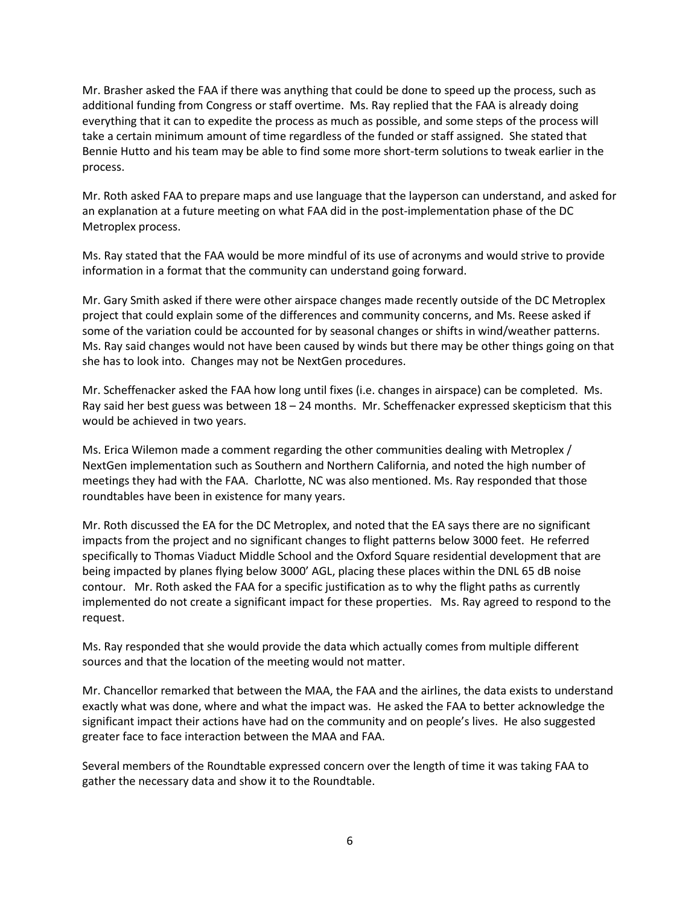Mr. Brasher asked the FAA if there was anything that could be done to speed up the process, such as additional funding from Congress or staff overtime. Ms. Ray replied that the FAA is already doing everything that it can to expedite the process as much as possible, and some steps of the process will take a certain minimum amount of time regardless of the funded or staff assigned. She stated that Bennie Hutto and his team may be able to find some more short-term solutions to tweak earlier in the process.

Mr. Roth asked FAA to prepare maps and use language that the layperson can understand, and asked for an explanation at a future meeting on what FAA did in the post-implementation phase of the DC Metroplex process.

Ms. Ray stated that the FAA would be more mindful of its use of acronyms and would strive to provide information in a format that the community can understand going forward.

Mr. Gary Smith asked if there were other airspace changes made recently outside of the DC Metroplex project that could explain some of the differences and community concerns, and Ms. Reese asked if some of the variation could be accounted for by seasonal changes or shifts in wind/weather patterns. Ms. Ray said changes would not have been caused by winds but there may be other things going on that she has to look into. Changes may not be NextGen procedures.

Mr. Scheffenacker asked the FAA how long until fixes (i.e. changes in airspace) can be completed. Ms. Ray said her best guess was between 18 – 24 months. Mr. Scheffenacker expressed skepticism that this would be achieved in two years.

Ms. Erica Wilemon made a comment regarding the other communities dealing with Metroplex / NextGen implementation such as Southern and Northern California, and noted the high number of meetings they had with the FAA. Charlotte, NC was also mentioned. Ms. Ray responded that those roundtables have been in existence for many years.

Mr. Roth discussed the EA for the DC Metroplex, and noted that the EA says there are no significant impacts from the project and no significant changes to flight patterns below 3000 feet. He referred specifically to Thomas Viaduct Middle School and the Oxford Square residential development that are being impacted by planes flying below 3000' AGL, placing these places within the DNL 65 dB noise contour. Mr. Roth asked the FAA for a specific justification as to why the flight paths as currently implemented do not create a significant impact for these properties. Ms. Ray agreed to respond to the request.

Ms. Ray responded that she would provide the data which actually comes from multiple different sources and that the location of the meeting would not matter.

Mr. Chancellor remarked that between the MAA, the FAA and the airlines, the data exists to understand exactly what was done, where and what the impact was. He asked the FAA to better acknowledge the significant impact their actions have had on the community and on people's lives. He also suggested greater face to face interaction between the MAA and FAA.

Several members of the Roundtable expressed concern over the length of time it was taking FAA to gather the necessary data and show it to the Roundtable.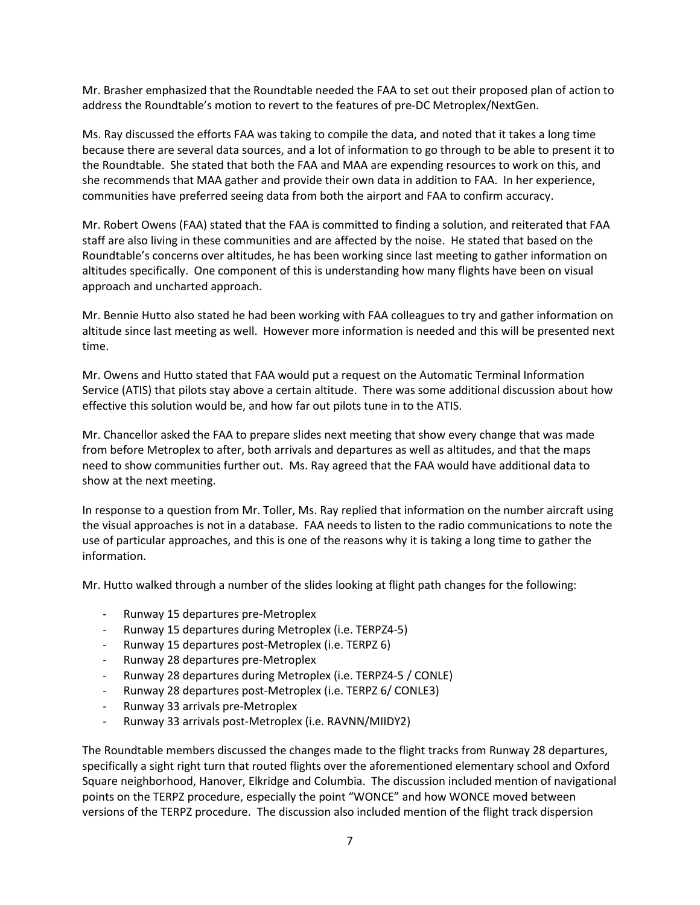Mr. Brasher emphasized that the Roundtable needed the FAA to set out their proposed plan of action to address the Roundtable's motion to revert to the features of pre-DC Metroplex/NextGen.

Ms. Ray discussed the efforts FAA was taking to compile the data, and noted that it takes a long time because there are several data sources, and a lot of information to go through to be able to present it to the Roundtable. She stated that both the FAA and MAA are expending resources to work on this, and she recommends that MAA gather and provide their own data in addition to FAA. In her experience, communities have preferred seeing data from both the airport and FAA to confirm accuracy.

Mr. Robert Owens (FAA) stated that the FAA is committed to finding a solution, and reiterated that FAA staff are also living in these communities and are affected by the noise. He stated that based on the Roundtable's concerns over altitudes, he has been working since last meeting to gather information on altitudes specifically. One component of this is understanding how many flights have been on visual approach and uncharted approach.

Mr. Bennie Hutto also stated he had been working with FAA colleagues to try and gather information on altitude since last meeting as well. However more information is needed and this will be presented next time.

Mr. Owens and Hutto stated that FAA would put a request on the Automatic Terminal Information Service (ATIS) that pilots stay above a certain altitude. There was some additional discussion about how effective this solution would be, and how far out pilots tune in to the ATIS.

Mr. Chancellor asked the FAA to prepare slides next meeting that show every change that was made from before Metroplex to after, both arrivals and departures as well as altitudes, and that the maps need to show communities further out. Ms. Ray agreed that the FAA would have additional data to show at the next meeting.

In response to a question from Mr. Toller, Ms. Ray replied that information on the number aircraft using the visual approaches is not in a database. FAA needs to listen to the radio communications to note the use of particular approaches, and this is one of the reasons why it is taking a long time to gather the information.

Mr. Hutto walked through a number of the slides looking at flight path changes for the following:

- Runway 15 departures pre-Metroplex
- Runway 15 departures during Metroplex (i.e. TERPZ4-5)
- Runway 15 departures post-Metroplex (i.e. TERPZ 6)
- Runway 28 departures pre-Metroplex
- Runway 28 departures during Metroplex (i.e. TERPZ4-5 / CONLE)
- Runway 28 departures post-Metroplex (i.e. TERPZ 6/ CONLE3)
- Runway 33 arrivals pre-Metroplex
- Runway 33 arrivals post-Metroplex (i.e. RAVNN/MIIDY2)

The Roundtable members discussed the changes made to the flight tracks from Runway 28 departures, specifically a sight right turn that routed flights over the aforementioned elementary school and Oxford Square neighborhood, Hanover, Elkridge and Columbia. The discussion included mention of navigational points on the TERPZ procedure, especially the point "WONCE" and how WONCE moved between versions of the TERPZ procedure. The discussion also included mention of the flight track dispersion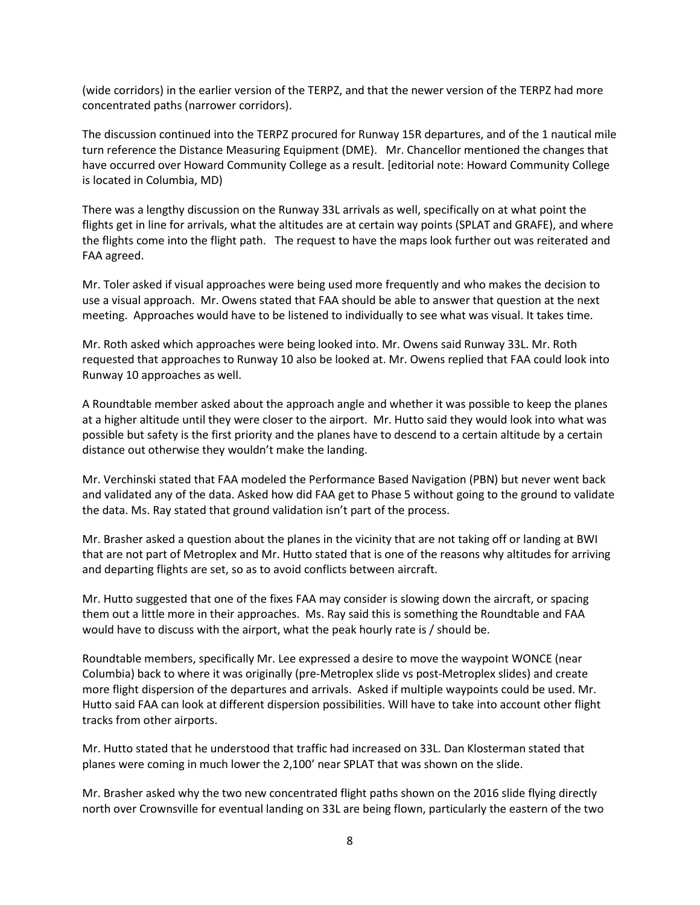(wide corridors) in the earlier version of the TERPZ, and that the newer version of the TERPZ had more concentrated paths (narrower corridors).

The discussion continued into the TERPZ procured for Runway 15R departures, and of the 1 nautical mile turn reference the Distance Measuring Equipment (DME). Mr. Chancellor mentioned the changes that have occurred over Howard Community College as a result. [editorial note: Howard Community College is located in Columbia, MD)

There was a lengthy discussion on the Runway 33L arrivals as well, specifically on at what point the flights get in line for arrivals, what the altitudes are at certain way points (SPLAT and GRAFE), and where the flights come into the flight path. The request to have the maps look further out was reiterated and FAA agreed.

Mr. Toler asked if visual approaches were being used more frequently and who makes the decision to use a visual approach. Mr. Owens stated that FAA should be able to answer that question at the next meeting. Approaches would have to be listened to individually to see what was visual. It takes time.

Mr. Roth asked which approaches were being looked into. Mr. Owens said Runway 33L. Mr. Roth requested that approaches to Runway 10 also be looked at. Mr. Owens replied that FAA could look into Runway 10 approaches as well.

A Roundtable member asked about the approach angle and whether it was possible to keep the planes at a higher altitude until they were closer to the airport. Mr. Hutto said they would look into what was possible but safety is the first priority and the planes have to descend to a certain altitude by a certain distance out otherwise they wouldn't make the landing.

Mr. Verchinski stated that FAA modeled the Performance Based Navigation (PBN) but never went back and validated any of the data. Asked how did FAA get to Phase 5 without going to the ground to validate the data. Ms. Ray stated that ground validation isn't part of the process.

Mr. Brasher asked a question about the planes in the vicinity that are not taking off or landing at BWI that are not part of Metroplex and Mr. Hutto stated that is one of the reasons why altitudes for arriving and departing flights are set, so as to avoid conflicts between aircraft.

Mr. Hutto suggested that one of the fixes FAA may consider is slowing down the aircraft, or spacing them out a little more in their approaches. Ms. Ray said this is something the Roundtable and FAA would have to discuss with the airport, what the peak hourly rate is / should be.

Roundtable members, specifically Mr. Lee expressed a desire to move the waypoint WONCE (near Columbia) back to where it was originally (pre-Metroplex slide vs post-Metroplex slides) and create more flight dispersion of the departures and arrivals. Asked if multiple waypoints could be used. Mr. Hutto said FAA can look at different dispersion possibilities. Will have to take into account other flight tracks from other airports.

Mr. Hutto stated that he understood that traffic had increased on 33L. Dan Klosterman stated that planes were coming in much lower the 2,100' near SPLAT that was shown on the slide.

Mr. Brasher asked why the two new concentrated flight paths shown on the 2016 slide flying directly north over Crownsville for eventual landing on 33L are being flown, particularly the eastern of the two